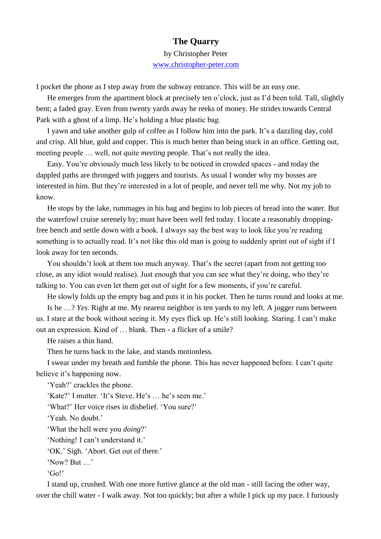## **The Quarry**

by Christopher Peter [www.christopher-peter.com](http://www.christopher-peter.com/)

I pocket the phone as I step away from the subway entrance. This will be an easy one.

He emerges from the apartment block at precisely ten o'clock, just as I'd been told. Tall, slightly bent; a faded gray. Even from twenty yards away he reeks of money. He strides towards Central Park with a ghost of a limp. He's holding a blue plastic bag.

I yawn and take another gulp of coffee as I follow him into the park. It's a dazzling day, cold and crisp. All blue, gold and copper. This is much better than being stuck in an office. Getting out, meeting people … well, not quite *meeting* people. That's not really the idea.

Easy. You're obviously much less likely to be noticed in crowded spaces - and today the dappled paths are thronged with joggers and tourists. As usual I wonder why my bosses are interested in him. But they're interested in a lot of people, and never tell me why. Not my job to know.

He stops by the lake, rummages in his bag and begins to lob pieces of bread into the water. But the waterfowl cruise serenely by; must have been well fed today. I locate a reasonably droppingfree bench and settle down with a book. I always say the best way to look like you're reading something is to actually read. It's not like this old man is going to suddenly sprint out of sight if I look away for ten seconds.

You shouldn't look at them too much anyway. That's the secret (apart from not getting too close, as any idiot would realise). Just enough that you can see what they're doing, who they're talking to. You can even let them get out of sight for a few moments, if you're careful.

He slowly folds up the empty bag and puts it in his pocket. Then he turns round and looks at me.

Is he …? *Yes*. Right at me. My nearest neighbor is ten yards to my left. A jogger runs between us. I stare at the book without seeing it. My eyes flick up. He's still looking. Staring. I can't make out an expression. Kind of … blank. Then - a flicker of a smile?

He raises a thin hand.

Then he turns back to the lake, and stands motionless.

I swear under my breath and fumble the phone. This has never happened before. I can't quite believe it's happening now.

'Yeah?' crackles the phone.

'Kate?' I mutter. 'It's Steve. He's … he's seen me.'

'What?' Her voice rises in disbelief. 'You sure?'

'Yeah. No doubt.'

'What the hell were you *doing*?'

'Nothing! I can't understand it.'

'OK.' Sigh. 'Abort. Get out of there.'

'Now? But …'

'Go!'

I stand up, crushed. With one more furtive glance at the old man - still facing the other way, over the chill water - I walk away. Not too quickly; but after a while I pick up my pace. I furiously